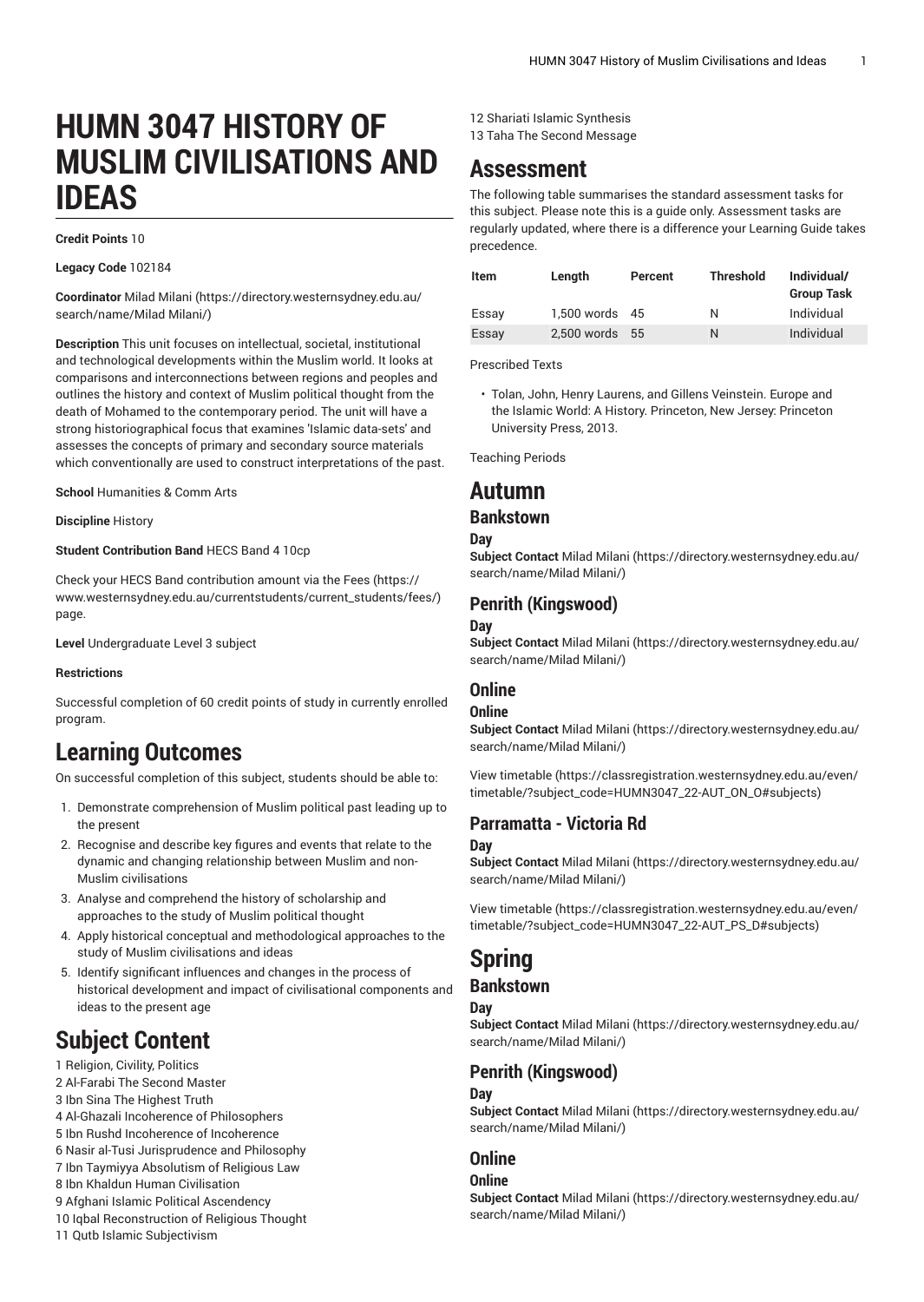# **HUMN 3047 HISTORY OF MUSLIM CIVILISATIONS AND IDEAS**

#### **Credit Points** 10

**Legacy Code** 102184

**Coordinator** [Milad Milani](https://directory.westernsydney.edu.au/search/name/Milad Milani/) [\(https://directory.westernsydney.edu.au/](https://directory.westernsydney.edu.au/search/name/Milad Milani/) [search/name/Milad](https://directory.westernsydney.edu.au/search/name/Milad Milani/) Milani/)

**Description** This unit focuses on intellectual, societal, institutional and technological developments within the Muslim world. It looks at comparisons and interconnections between regions and peoples and outlines the history and context of Muslim political thought from the death of Mohamed to the contemporary period. The unit will have a strong historiographical focus that examines 'Islamic data-sets' and assesses the concepts of primary and secondary source materials which conventionally are used to construct interpretations of the past.

**School** Humanities & Comm Arts

**Discipline** History

#### **Student Contribution Band** HECS Band 4 10cp

Check your HECS Band contribution amount via the [Fees \(https://](https://www.westernsydney.edu.au/currentstudents/current_students/fees/) [www.westernsydney.edu.au/currentstudents/current\\_students/fees/\)](https://www.westernsydney.edu.au/currentstudents/current_students/fees/) page.

**Level** Undergraduate Level 3 subject

#### **Restrictions**

Successful completion of 60 credit points of study in currently enrolled program.

## **Learning Outcomes**

On successful completion of this subject, students should be able to:

- 1. Demonstrate comprehension of Muslim political past leading up to the present
- 2. Recognise and describe key figures and events that relate to the dynamic and changing relationship between Muslim and non-Muslim civilisations
- 3. Analyse and comprehend the history of scholarship and approaches to the study of Muslim political thought
- 4. Apply historical conceptual and methodological approaches to the study of Muslim civilisations and ideas
- 5. Identify significant influences and changes in the process of historical development and impact of civilisational components and ideas to the present age

## **Subject Content**

- 1 Religion, Civility, Politics
- 2 Al-Farabi The Second Master
- 3 Ibn Sina The Highest Truth
- 4 Al-Ghazali Incoherence of Philosophers
- 5 Ibn Rushd Incoherence of Incoherence
- 6 Nasir al-Tusi Jurisprudence and Philosophy 7 Ibn Taymiyya Absolutism of Religious Law
- 8 Ibn Khaldun Human Civilisation
- 9 Afghani Islamic Political Ascendency
- 10 Iqbal Reconstruction of Religious Thought
- 11 Qutb Islamic Subjectivism
- 12 Shariati Islamic Synthesis
- 13 Taha The Second Message

## **Assessment**

The following table summarises the standard assessment tasks for this subject. Please note this is a guide only. Assessment tasks are regularly updated, where there is a difference your Learning Guide takes precedence.

| Item  | Length         | Percent | <b>Threshold</b> | Individual/<br><b>Group Task</b> |
|-------|----------------|---------|------------------|----------------------------------|
| Essay | 1,500 words 45 |         | Ν                | Individual                       |
| Essay | 2.500 words 55 |         | N                | Individual                       |

Prescribed Texts

• Tolan, John, Henry Laurens, and Gillens Veinstein. Europe and the Islamic World: A History. Princeton, New Jersey: Princeton University Press, 2013.

Teaching Periods

## **Autumn**

#### **Bankstown**

#### **Day**

**Subject Contact** [Milad Milani \(https://directory.westernsydney.edu.au/](https://directory.westernsydney.edu.au/search/name/Milad Milani/) [search/name/Milad](https://directory.westernsydney.edu.au/search/name/Milad Milani/) Milani/)

#### **Penrith (Kingswood)**

#### **Day**

**Subject Contact** [Milad Milani \(https://directory.westernsydney.edu.au/](https://directory.westernsydney.edu.au/search/name/Milad Milani/) [search/name/Milad](https://directory.westernsydney.edu.au/search/name/Milad Milani/) Milani/)

#### **Online**

#### **Online**

**Subject Contact** [Milad Milani \(https://directory.westernsydney.edu.au/](https://directory.westernsydney.edu.au/search/name/Milad Milani/) [search/name/Milad](https://directory.westernsydney.edu.au/search/name/Milad Milani/) Milani/)

[View timetable](https://classregistration.westernsydney.edu.au/even/timetable/?subject_code=HUMN3047_22-AUT_ON_O#subjects) [\(https://classregistration.westernsydney.edu.au/even/](https://classregistration.westernsydney.edu.au/even/timetable/?subject_code=HUMN3047_22-AUT_ON_O#subjects) [timetable/?subject\\_code=HUMN3047\\_22-AUT\\_ON\\_O#subjects\)](https://classregistration.westernsydney.edu.au/even/timetable/?subject_code=HUMN3047_22-AUT_ON_O#subjects)

#### **Parramatta - Victoria Rd**

#### **Day**

**Subject Contact** [Milad Milani \(https://directory.westernsydney.edu.au/](https://directory.westernsydney.edu.au/search/name/Milad Milani/) [search/name/Milad](https://directory.westernsydney.edu.au/search/name/Milad Milani/) Milani/)

[View timetable](https://classregistration.westernsydney.edu.au/even/timetable/?subject_code=HUMN3047_22-AUT_PS_D#subjects) [\(https://classregistration.westernsydney.edu.au/even/](https://classregistration.westernsydney.edu.au/even/timetable/?subject_code=HUMN3047_22-AUT_PS_D#subjects) [timetable/?subject\\_code=HUMN3047\\_22-AUT\\_PS\\_D#subjects\)](https://classregistration.westernsydney.edu.au/even/timetable/?subject_code=HUMN3047_22-AUT_PS_D#subjects)

## **Spring**

### **Bankstown**

#### **Day**

**Subject Contact** [Milad Milani \(https://directory.westernsydney.edu.au/](https://directory.westernsydney.edu.au/search/name/Milad Milani/) [search/name/Milad](https://directory.westernsydney.edu.au/search/name/Milad Milani/) Milani/)

#### **Penrith (Kingswood)**

#### **Day**

**Subject Contact** [Milad Milani \(https://directory.westernsydney.edu.au/](https://directory.westernsydney.edu.au/search/name/Milad Milani/) [search/name/Milad](https://directory.westernsydney.edu.au/search/name/Milad Milani/) Milani/)

#### **Online**

#### **Online**

**Subject Contact** [Milad Milani \(https://directory.westernsydney.edu.au/](https://directory.westernsydney.edu.au/search/name/Milad Milani/) [search/name/Milad](https://directory.westernsydney.edu.au/search/name/Milad Milani/) Milani/)